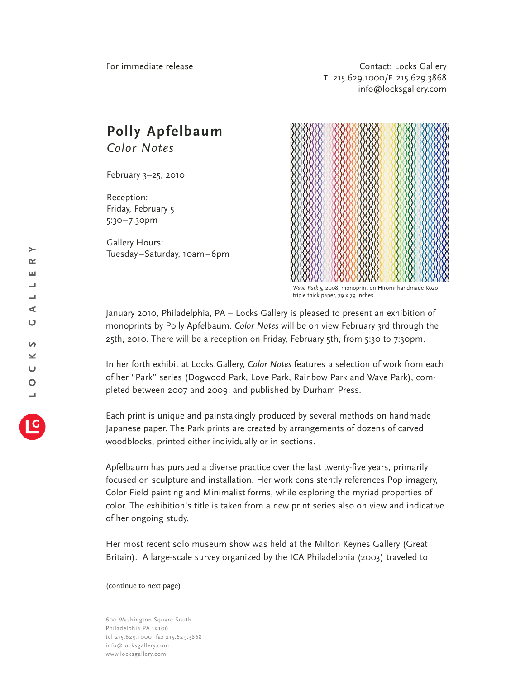Contact: Locks Gallery **T** 215.629.1000/**F** 215.629.3868 info@locksgallery.com

## **Polly Apfelbaum** *Color Notes*

February 3–25, 2010

Reception: Friday, February 5 5:30–7:30pm

Gallery Hours: Tuesday–Saturday, 10am–6pm



*Wave Park 5,* 2008, monoprint on Hiromi handmade Kozo triple thick paper, 79 x 79 inches

January 2010, Philadelphia, PA – Locks Gallery is pleased to present an exhibition of monoprints by Polly Apfelbaum. *Color Notes* will be on view February 3rd through the 25th, 2010. There will be a reception on Friday, February 5th, from 5:30 to 7:30pm.

In her forth exhibit at Locks Gallery, *Color Notes* features a selection of work from each of her "Park" series (Dogwood Park, Love Park, Rainbow Park and Wave Park), completed between 2007 and 2009, and published by Durham Press.

Each print is unique and painstakingly produced by several methods on handmade Japanese paper. The Park prints are created by arrangements of dozens of carved woodblocks, printed either individually or in sections.

Apfelbaum has pursued a diverse practice over the last twenty-five years, primarily focused on sculpture and installation. Her work consistently references Pop imagery, Color Field painting and Minimalist forms, while exploring the myriad properties of color. The exhibition's title is taken from a new print series also on view and indicative of her ongoing study.

Her most recent solo museum show was held at the Milton Keynes Gallery (Great Britain). A large-scale survey organized by the ICA Philadelphia (2003) traveled to

(continue to next page)

600 Washington Square South Philadelphia PA 19106 tel 215.629.1000 fax 215.629.3868 info@locksgallery.com www.locksgallery.com

 $\geq$